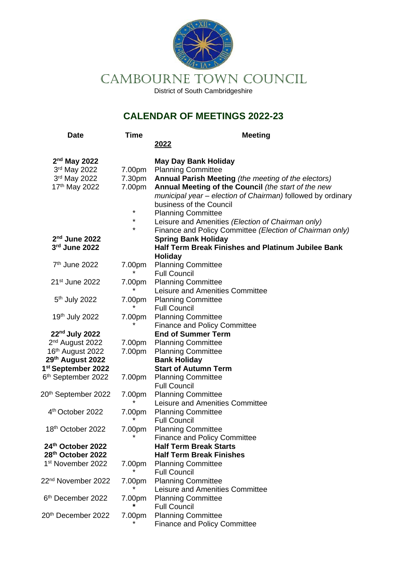

CAMBOURNE TOWN COUNCIL

District of South Cambridgeshire

## **CALENDAR OF MEETINGS 2022-23**

| <b>Date</b>                                                      | <b>Time</b> | <b>Meeting</b>                                              |
|------------------------------------------------------------------|-------------|-------------------------------------------------------------|
|                                                                  |             | 2022                                                        |
| $2nd$ May 2022                                                   |             | <b>May Day Bank Holiday</b>                                 |
| 3rd May 2022                                                     | 7.00pm      | <b>Planning Committee</b>                                   |
| 3rd May 2022                                                     | 7.30pm      | Annual Parish Meeting (the meeting of the electors)         |
| 17 <sup>th</sup> May 2022                                        | 7.00pm      | Annual Meeting of the Council (the start of the new         |
|                                                                  |             | municipal year - election of Chairman) followed by ordinary |
|                                                                  |             | business of the Council                                     |
|                                                                  | *           | <b>Planning Committee</b>                                   |
|                                                                  | *           | Leisure and Amenities (Election of Chairman only)           |
|                                                                  | *           | Finance and Policy Committee (Election of Chairman only)    |
| $2nd$ June 2022                                                  |             | <b>Spring Bank Holiday</b>                                  |
| 3rd June 2022                                                    |             | <b>Half Term Break Finishes and Platinum Jubilee Bank</b>   |
|                                                                  |             | <b>Holiday</b>                                              |
| 7 <sup>th</sup> June 2022                                        | 7.00pm      | <b>Planning Committee</b>                                   |
|                                                                  |             | <b>Full Council</b>                                         |
| 21 <sup>st</sup> June 2022                                       | 7.00pm      | <b>Planning Committee</b>                                   |
|                                                                  |             | Leisure and Amenities Committee                             |
| 5 <sup>th</sup> July 2022                                        | 7.00pm      | <b>Planning Committee</b>                                   |
|                                                                  |             | <b>Full Council</b>                                         |
| 19th July 2022                                                   | 7.00pm      | <b>Planning Committee</b>                                   |
|                                                                  | *           | <b>Finance and Policy Committee</b>                         |
| 22 <sup>nd</sup> July 2022                                       |             | <b>End of Summer Term</b>                                   |
| 2 <sup>nd</sup> August 2022                                      | 7.00pm      | <b>Planning Committee</b>                                   |
| 16th August 2022                                                 | 7.00pm      | <b>Planning Committee</b>                                   |
| 29th August 2022                                                 |             | <b>Bank Holiday</b><br><b>Start of Autumn Term</b>          |
| 1 <sup>st</sup> September 2022<br>6 <sup>th</sup> September 2022 |             |                                                             |
|                                                                  | 7.00pm      | <b>Planning Committee</b><br><b>Full Council</b>            |
| 20th September 2022                                              | 7.00pm      | <b>Planning Committee</b>                                   |
|                                                                  |             | Leisure and Amenities Committee                             |
| 4th October 2022                                                 | 7.00pm      | <b>Planning Committee</b>                                   |
|                                                                  |             | <b>Full Council</b>                                         |
| 18 <sup>th</sup> October 2022                                    | 7.00pm      | <b>Planning Committee</b>                                   |
|                                                                  | *           | <b>Finance and Policy Committee</b>                         |
| 24th October 2022                                                |             | <b>Half Term Break Starts</b>                               |
| 28th October 2022                                                |             | <b>Half Term Break Finishes</b>                             |
| 1 <sup>st</sup> November 2022                                    | 7.00pm      | <b>Planning Committee</b>                                   |
|                                                                  |             | <b>Full Council</b>                                         |
| 22 <sup>nd</sup> November 2022                                   | 7.00pm      | <b>Planning Committee</b>                                   |
|                                                                  |             | Leisure and Amenities Committee                             |
| 6 <sup>th</sup> December 2022                                    | 7.00pm      | <b>Planning Committee</b>                                   |
|                                                                  |             | <b>Full Council</b>                                         |
| 20th December 2022                                               | 7.00pm      | <b>Planning Committee</b>                                   |
|                                                                  |             | <b>Finance and Policy Committee</b>                         |